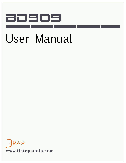# BD909

# User Manual

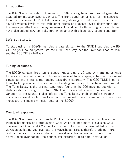### **Introduction.**

The BD909 is a recreation of Roland's TR-909 analog bass drum sound generator adapted for modular synthesizer use. The front panel contains all of the controls found on the original TR-909 drum machine, allowing you full control over the sound's volume levels to mix with other drums and accent levels, decay tune and the envelope attack and decay segments. In addition to those original controls we have also added new controls, further enhancing this legendary sound generator.

## **Let's get started.**

 $\frac{1}{2}$ To start using the BD909, just plug a gate signal into the GATE input, plug the BD OUT to your sound system, set the LEVEL half way, set the Overload knob to min, set the ACCENT to halfway.

### **Tuning explained.**

The BD909 contain three tuning control knobs plus a VC tune with attenuator knob for scaling the control signal. This wide range of tune shaping enhances the original circuit, turning it into a real analog bass drum laboratory. The OSC TUNE knob is there to let you offset the starting and ending frequency of the bass drum sound. The Tune Decay is the original tune knob found in the 909 machine but with a slightly extended range. The Tune Attack is a new control which not only adds variation to the sound, it also affects the Tune Decay knob, therefore creating many more sweet spots than found on the original. The combination of these three knobs are the main synthesis tools of the BD909.

#### **Overload explained.**

The BD909 is based on a triangle VCO and a sine wave shaper that filters the triangle harmonics and producing a wave which sounds more like a sine wave. The overload knob and CV input form a control circuit that was added to the waveshaper, letting you overload the waveshaper circuit, therefore adding more odd harmonics to the wave shape. In low doses this means more punch, and as you keep overloading, the sounds get distorted up to total destruction.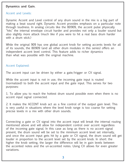### **Dynamics and Gain.**

#### Accent and Levels:

Dynamic Accent and Level control of any drum sound in the mix is a big part of making a beat sound right. Dynamic Accent provides emphasis on a particular note through loudness. In analog circuits like the BD909, the accent pulse physically "hits" the internal envelope circuit harder and provides not only a louder sound but also slightly more attack (much like if you were to hit a real bass drum harder with a drum stick.)

While the original 909 has one global accent knob for setting accents levels for all of its sounds, the BD909 (and all other drum modules in this series) offers an independent accent level control. This feature adds to richer dynamics than what was possible with the original machine.

#### Accent Explained:

The accent input can be driven by either a gate/trigger or CV signal.

While the accent input is not in use, the incoming gate input is routed (normalized) to both the accent input and the gate input. This serves for two purposes:

1. To allow you to reach the hottest drum sound possible even when there is no accent input signal connected.

2. It makes the ACCENT knob act as a fine control of the output gain level. This is very useful in situations where the level knob range is too coarse for setting precise levels in a mix with other drum sounds.

Connecting a gate or CV signal into the accent input will break the internal routing mentioned above and will allow for independent control over accent regardless of the incoming gate signal. In this case as long as there is no accent signal present, the drum sound will be set to the minimum accent level set internally, and once the accent input gets hit by a gate or CV signal, the drum sound will get louder in proportion to the accent level set by the accent knob. In short: the higher the knob setting, the larger the difference will be in gain levels between the accented notes and the un-accented notes. Using CV allows for even greater variations.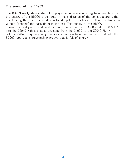#### **The sound of the BD909.**

The BD909 really shines when it is played alongside a nice big bass line. Most of the energy of the BD909 is centered in the mid range of the sonic spectrum, the result being that there is headroom for deep low bass lines to fill up the lower end without "fighting" the bass drum in the mix. This quality of the BD909 makes it a real joy to work and mix with. Try mixing two Z3000's set to 30-50HZ into the Z2040 with a snappy envelope from the Z4000 to the Z2040 FM IN. Set the Z2040 frequency very low so it creates a bass line and mix that with the BD909; you get a great-feeling groove that is full of energy.